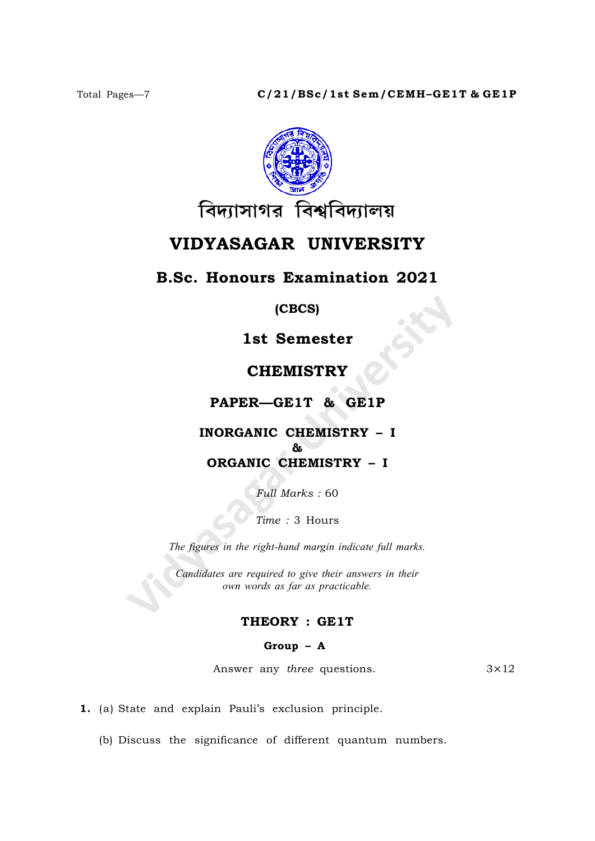

# VIDYASAGAR UNIVERSITY

# B.Sc. Honours Examination 2021

(CBCS)

1st Semester

# **CHEMISTRY**

# PAPER—GE1T & GE1P

# INORGANIC CHEMISTRY – I & ORGANIC CHEMISTRY – I

Full Marks : 60

Time : 3 Hours

The figures in the right-hand margin indicate full marks.

Candidates are required to give their answers in their own words as far as practicable.

# THEORY : GE1T

#### Group – A

Answer any *three* questions.  $3 \times 12$ 

1. (a) State and explain Pauli's exclusion principle.

(b) Discuss the significance of different quantum numbers.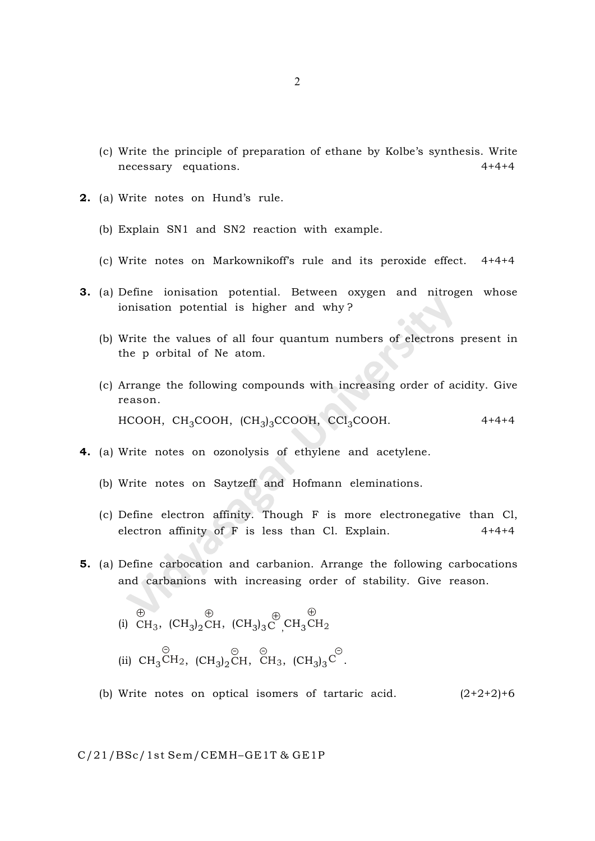- (c) Write the principle of preparation of ethane by Kolbe's synthesis. Write necessary equations. 4+4+4
- 2. (a) Write notes on Hund's rule.
	- (b) Explain SN1 and SN2 reaction with example.
	- (c) Write notes on Markownikoff's rule and its peroxide effect. 4+4+4
- 3. (a) Define ionisation potential. Between oxygen and nitrogen whose ionisation potential is higher and why ?
	- (b) Write the values of all four quantum numbers of electrons present in the p orbital of Ne atom.
	- (c) Arrange the following compounds with increasing order of acidity. Give reason. HCOOH, CH<sub>3</sub>COOH, (CH<sub>3</sub>)<sub>3</sub>CCOOH, CCl<sub>3</sub>COOH. 4+4+4
- 4. (a) Write notes on ozonolysis of ethylene and acetylene.
	- (b) Write notes on Saytzeff and Hofmann eleminations.
	- (c) Define electron affinity. Though F is more electronegative than Cl, electron affinity of  $F$  is less than Cl. Explain.  $4+4+4$
- 5. (a) Define carbocation and carbanion. Arrange the following carbocations and carbanions with increasing order of stability. Give reason.
	- (i)  $CH<sub>3</sub>$  $\oplus$ ,  $\left(\mathrm{CH}_3\right)_2\mathrm{CH}$  $\oplus$ ,  $\overline{(CH_3)}_3 C \overline{\phantom{C}}_3 CH_3 CH_2$  $\oplus$
	- (ii)  $CH<sub>3</sub>CH$ - 2,  $\text{(CH}_3)_2\text{CH}$ - , CH  $\widehat{\epsilon}$ 3,  $(CH_3)_3C$  $\hat{z}$ .
	- (b) Write notes on optical isomers of tartaric acid.  $(2+2+2)+6$

#### C/21/BSc/1st Sem/CEMH–GE1T & GE1P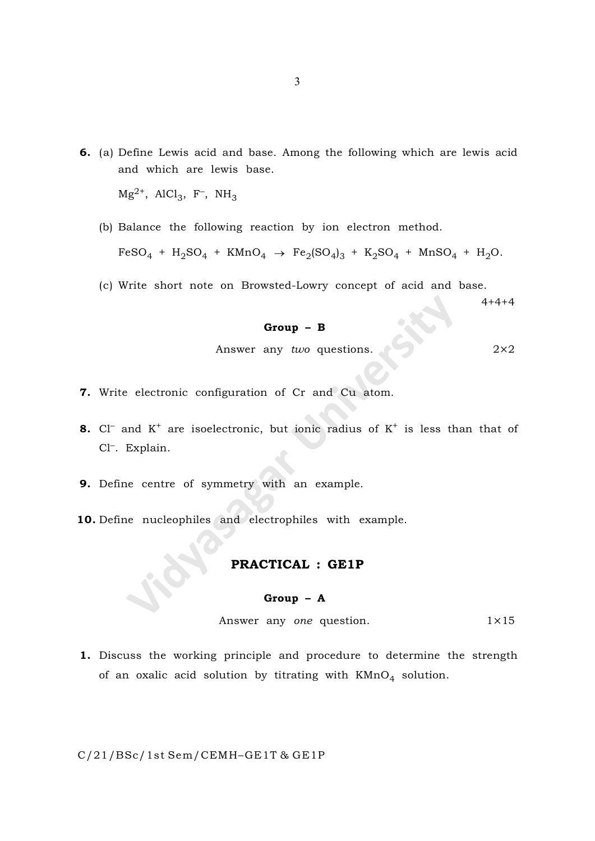6. (a) Define Lewis acid and base. Among the following which are lewis acid and which are lewis base.

 $Mg^{2+}$ , AlCl<sub>3</sub>, F<sup>-</sup>, NH<sub>3</sub>

(b) Balance the following reaction by ion electron method.

 $FeSO_4 + H_2SO_4 + KMnO_4 \rightarrow Fe_2(SO_4)_3 + K_2SO_4 + MnSO_4 + H_2O.$ 

(c) Write short note on Browsted-Lowry concept of acid and base.

 $4+4+4$ 

#### Group – B

Answer any *two* questions. 
$$
2 \times 2
$$

- 7. Write electronic configuration of Cr and Cu atom.
- **8.** Cl<sup>-</sup> and  $K^+$  are isoelectronic, but ionic radius of  $K^+$  is less than that of Cl– . Explain.
- 9. Define centre of symmetry with an example.
- 10. Define nucleophiles and electrophiles with example.

# PRACTICAL : GE1P

#### Group – A

Answer any one question.  $1 \times 15$ 

1. Discuss the working principle and procedure to determine the strength of an oxalic acid solution by titrating with  $\mathtt{KMnO}_4$  solution.

#### C/21/BSc/1st Sem/CEMH–GE1T & GE1P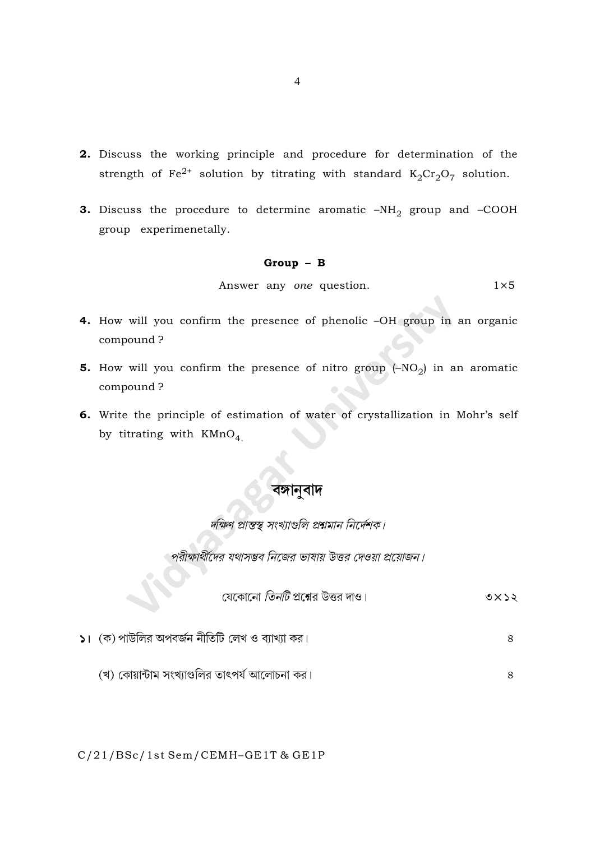- 2. Discuss the working principle and procedure for determination of the strength of Fe<sup>2+</sup> solution by titrating with standard  $K_2Cr_2O_7$  solution.
- **3.** Discuss the procedure to determine aromatic  $-NH_2$  group and -COOH group experimenetally.

#### $Group - B$

Answer any one question.  $1\times 5$ 

- 4. How will you confirm the presence of phenolic -OH group in an organic compound?
- **5.** How will you confirm the presence of nitro group  $(-NO<sub>2</sub>)$  in an aromatic compound?
- 6. Write the principle of estimation of water of crystallization in Mohr's self by titrating with  $K M n O<sub>4</sub>$

দক্ষিণ প্রান্তস্থ্ সংখ্যাগুলি প্রশ্নমান নির্দেশক।

পরীক্ষার্থীদের যথাসম্ভব নিজের ভাষায় উত্তর দেওয়া প্রয়োজন।

|                                         | $0$ $\times$ $5$ $\approx$ |
|-----------------------------------------|----------------------------|
| যেকোনো <i>তিনটি</i> প্রশ্নের উত্তর দাও। |                            |

 $\,8$ 

8

 $\mathsf{S}$ । (ক) পাউলির অপবর্জন নীতিটি লেখ ও ব্যাখ্যা কর।

(খ) কোয়ান্টাম সংখ্যাগুলির তাৎপর্য আলোচনা কর।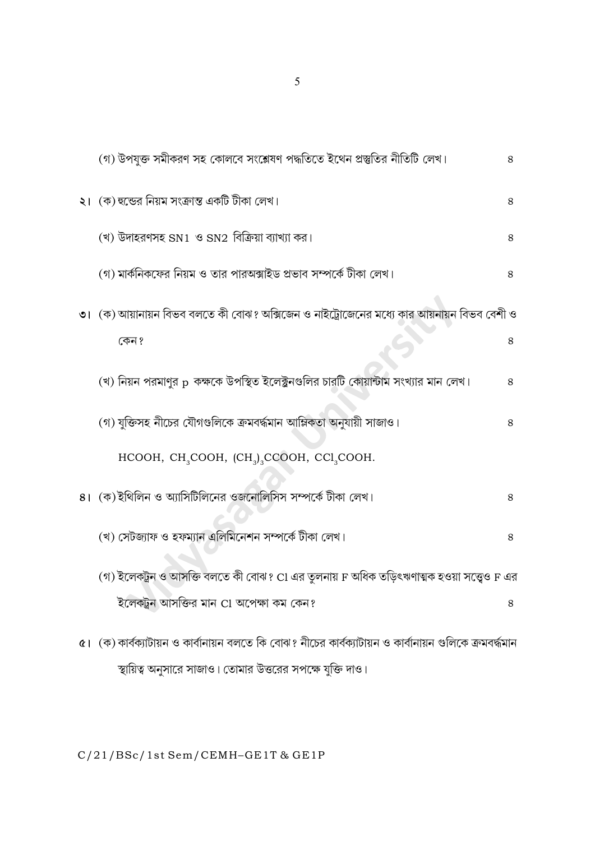| (গ) উপযুক্ত সমীকরণ সহ কোলবে সংশ্লেষণ পদ্ধতিতে ইথেন প্রস্তুতির নীতিটি লেখ।                                | 8 |
|----------------------------------------------------------------------------------------------------------|---|
| ২। (ক) হুন্ডের নিয়ম সংক্রান্ত একটি টীকা লেখ।                                                            | 8 |
| (খ) উদাহরণসহ SN1 ও SN2 বিক্রিয়া ব্যাখ্যা কর।                                                            | 8 |
| (গ) মার্কনিকফের নিয়ম ও তার পারঅক্সাইড প্রভাব সম্পর্কে টীকা লেখ।                                         | 8 |
| ৩। (ক) আয়ানায়ন বিভব বলতে কী বোঝ? অক্সিজেন ও নাইট্রোজেনের মধ্যে কার আয়নায়ন বিভব বেশী ও                |   |
| কেন ?                                                                                                    | 8 |
| (খ) নিয়ন পরমাণুর p  কক্ষকে উপস্থিত ইলেক্ট্রনগুলির চারটি কোয়ান্টাম সংখ্যার মান লেখ।                     | 8 |
| (গ) যুক্তিসহ নীচের যৌগগুলিকে ক্রমবর্দ্ধমান আম্লিকতা অনুযায়ী সাজাও।                                      | 8 |
| HCOOH, CH <sub>3</sub> COOH, (CH <sub>3</sub> ) <sub>3</sub> CCOOH, CCl <sub>3</sub> COOH.               |   |
| ৪। (ক)ইথিলিন ও অ্যাসিটিলিনের ওজনোলিসিস সম্পর্কে টীকা লেখ।                                                | 8 |
| (খ) সেটজ্যাফ ও হফম্যান এলিমিনেশন সম্পর্কে টীকা লেখ।                                                      | 8 |
| (গ) ইলেকট্রন ও আসক্তি বলতে কী বোঝ? CI এর তুলনায় F অধিক তড়িৎঋণাত্মক হওয়া সত্ত্বেও F এর                 |   |
| ইলেকট্টন আসক্তির মান Cl অপেক্ষা কম কেন?                                                                  | 8 |
| ৫। (ক) কার্বক্যাটায়ন ও কার্বানায়ন বলতে কি বোঝ? নীচের কার্বক্যাটায়ন ও কার্বানায়ন গুলিকে ক্রমবর্দ্ধমান |   |

স্থায়িত্ব অনুসারে সাজাও। তোমার উত্তরের সপক্ষে যুক্তি দাও।

 $C/21/BSc/1st$  Sem/CEMH-GE1T & GE1P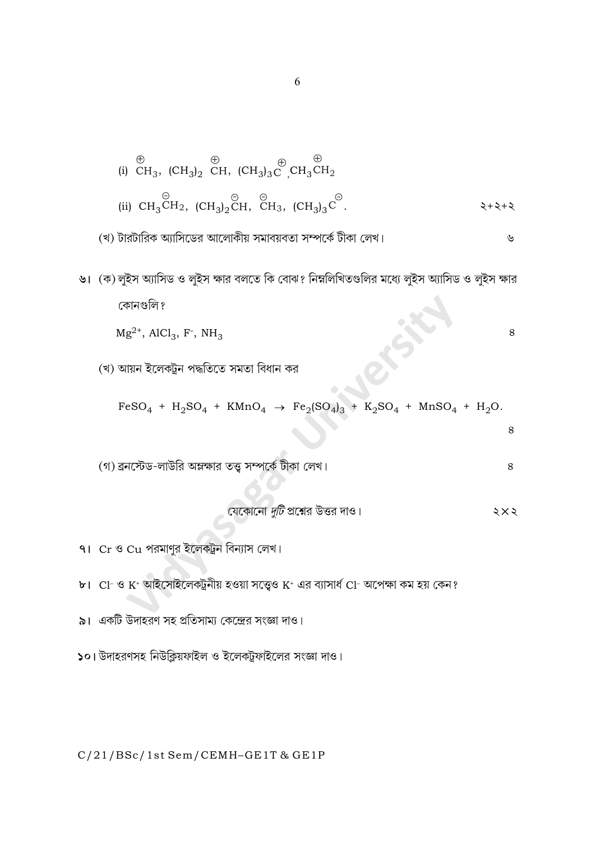(i) 
$$
\text{CH}_3
$$
,  $(\text{CH}_3)_2$   $\text{CH}_3$ ,  $(\text{CH}_3)_3\text{C}^{\oplus}$ ,  $\text{CH}_3\text{CH}_2$   
\n(ii)  $\text{CH}_3\text{CH}_2$ ,  $(\text{CH}_3)_2\text{CH}$ ,  $\text{CH}_3$ ,  $(\text{CH}_3)_3\text{C}^{\ominus}$ .

৬। (ক) লুইস অ্যাসিড ও লুইস ক্ষার বলতে কি বোঝ? নিম্নলিখিতগুলির মধ্যে লুইস অ্যাসিড ও লুইস ক্ষার কোনগুলি ?

 $Mg^{2+}$ , AlCl<sub>3</sub>, F<sup>-</sup>, NH<sub>3</sub>

(খ) আয়ন ইলেকট্ৰন পদ্ধতিতে সমতা বিধান কর

 $FeSO_4 + H_2SO_4 + KMnO_4 \rightarrow Fe_2(SO_4)_3 + K_2SO_4 + MnSO_4 + H_2O.$ 

(গ) ব্রনস্টেড-লাউরি অম্লক্ষার তত্ত্ব সম্পর্কে টীকা লেখ।

8

8

8

৭। Cr ও Cu পরমাণুর ইলেকট্রন বিন্যাস লেখ।

- $b$ । Cl- ও K+ আইসোইলেকট্রনীয় হওয়া সত্ত্বেও K+ এর ব্যাসার্ধ Cl- অপেক্ষা কম হয় কেন?
- ৯। একটি উদাহরণ সহ প্রতিসাম্য কেন্দ্রের সংজ্ঞা দাও।
- ১০। উদাহরণসহ নিউক্লিয়ফাইল ও ইলেকট্রফাইলের সংজ্ঞা দাও।

C/21/BSc/1st Sem/CEMH-GE1T & GE1P